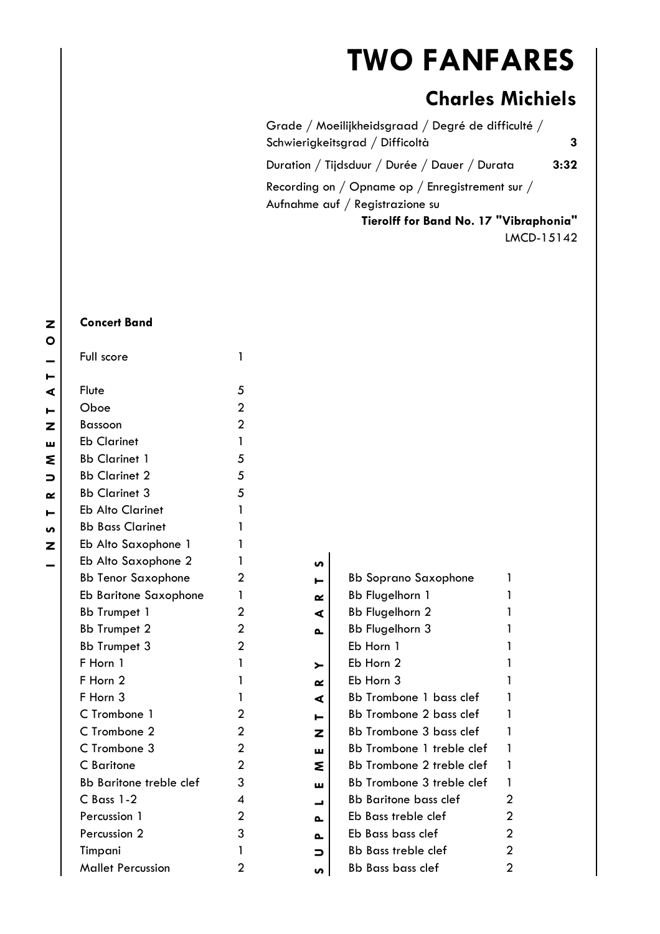# **TWO FANFARES**

## **Charles Michiels**

Grade / Moeilijkheidsgraad / Degré de difficulté / Schwierigkeitsgrad / Difficoltà **3** Duration / Tijdsduur / Durée / Dauer / Durata **3:32** Recording on / Opname op / Enregistrement sur / Aufnahme auf / Registrazione su LMCD-15142 **Tierolff for Band No. 17 "Vibraphonia"**

### **Concert Band**

| Full score                     | 1              |          |                              |                |
|--------------------------------|----------------|----------|------------------------------|----------------|
| Flute                          | 5              |          |                              |                |
| Oboe                           | $\overline{2}$ |          |                              |                |
| <b>Bassoon</b>                 | $\overline{2}$ |          |                              |                |
| <b>Eb Clarinet</b>             | 1              |          |                              |                |
| <b>Bb Clarinet 1</b>           | 5              |          |                              |                |
| <b>Bb Clarinet 2</b>           | 5              |          |                              |                |
| <b>Bb Clarinet 3</b>           | 5              |          |                              |                |
| <b>Eb Alto Clarinet</b>        | 1              |          |                              |                |
| <b>Bb Bass Clarinet</b>        | 1              |          |                              |                |
| Eb Alto Saxophone 1            | 1              |          |                              |                |
| Eb Alto Saxophone 2            | 1              | S        |                              |                |
| <b>Bb Tenor Saxophone</b>      | 2              | ⊢        | <b>Bb Soprano Saxophone</b>  | 1              |
| Eb Baritone Saxophone          | 1              | ≃        | <b>Bb Flugelhorn 1</b>       | 1              |
| <b>Bb Trumpet 1</b>            | 2              | ⋖        | <b>Bb Flugelhorn 2</b>       | 1              |
| <b>Bb Trumpet 2</b>            | $\overline{2}$ | ௳        | <b>Bb Flugelhorn 3</b>       | 1              |
| <b>Bb Trumpet 3</b>            | $\overline{2}$ |          | Eb Horn 1                    | 1              |
| F Horn 1                       | 1              | ≻        | Eb Horn 2                    | 1              |
| F Horn 2                       | 1              | ≃        | Eb Horn 3                    | 1              |
| F Horn 3                       | 1              | ⋖        | Bb Trombone 1 bass clef      | 1              |
| C Trombone 1                   | 2              | ⊢        | Bb Trombone 2 bass clef      | $\mathbf{1}$   |
| C Trombone 2                   | 2              | z        | Bb Trombone 3 bass clef      | $\mathbf{1}$   |
| C Trombone 3                   | $\overline{2}$ | ш        | Bb Trombone 1 treble clef    | $\mathbf{1}$   |
| C Baritone                     | $\overline{2}$ | Σ        | Bb Trombone 2 treble clef    | $\mathbf{1}$   |
| <b>Bb Baritone treble clef</b> | 3              | ш        | Bb Trombone 3 treble clef    | $\mathbf{1}$   |
| C Bass 1-2                     | 4              | ┙        | <b>Bb Baritone bass clef</b> | $\overline{2}$ |
| Percussion 1                   | 2              | <b>L</b> | Eb Bass treble clef          | $\overline{2}$ |
| Percussion 2                   | 3              | ௳        | Eb Bass bass clef            | $\overline{2}$ |
| Timpani                        | 1              | ∍        | <b>Bb Bass treble clef</b>   | $\overline{2}$ |
| <b>Mallet Percussion</b>       | $\overline{2}$ | り        | <b>Bb Bass bass clef</b>     | $\overline{2}$ |

| Н                        | Bb Soprano Saxophone           | 1              |
|--------------------------|--------------------------------|----------------|
| $\alpha$                 | <b>Bb Flugelhorn 1</b>         | 1              |
| ∢                        | <b>Bb Flugelhorn 2</b>         | 1              |
| Δ.                       | <b>Bb Flugelhorn 3</b>         | 1              |
|                          | Eb Horn 1                      | 1              |
| ≻                        | Eb Horn 2                      | 1              |
| $\alpha$                 | Eb Horn 3                      | 1              |
| ∢                        | Bb Trombone 1 bass clef        | 1              |
| Н                        | Bb Trombone 2 bass clef        | 1              |
| Z                        | <b>Bb Trombone 3 bass clef</b> | 1              |
| ш                        | Bb Trombone 1 treble clef      | 1              |
| Σ                        | Bb Trombone 2 treble clef      | 1              |
| ш                        | Bb Trombone 3 treble clef      | 1              |
| $\overline{\phantom{0}}$ | <b>Bb Baritone bass clef</b>   | 2              |
| <b>.</b>                 | Eb Bass treble clef            | 2              |
| <b>1</b>                 | Eb Bass bass clef              |                |
| $\overline{\phantom{a}}$ | Bb Bass treble clef            | $\overline{2}$ |
|                          | Bb Bass bass clef              | 2              |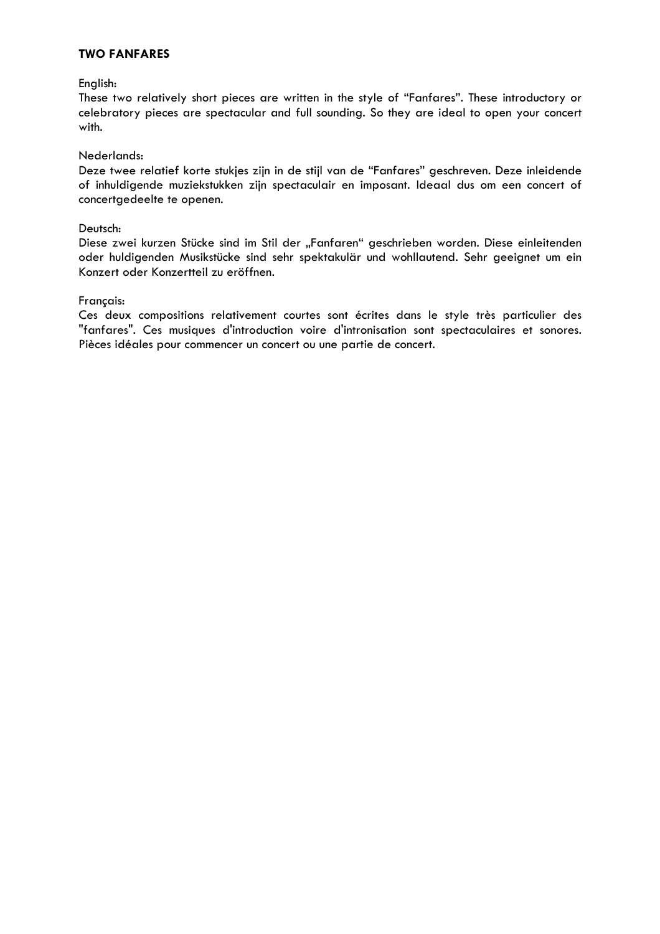#### **TWO FANFARES**

#### English:

These two relatively short pieces are written in the style of "Fanfares". These introductory or celebratory pieces are spectacular and full sounding. So they are ideal to open your concert with.

#### Nederlands:

Deze twee relatief korte stukjes zijn in de stijl van de "Fanfares" geschreven. Deze inleidende of inhuldigende muziekstukken zijn spectaculair en imposant. Ideaal dus om een concert of concertgedeelte te openen.

#### Deutsch:

Diese zwei kurzen Stücke sind im Stil der "Fanfaren" geschrieben worden. Diese einleitenden oder huldigenden Musikstücke sind sehr spektakulär und wohllautend. Sehr geeignet um ein Konzert oder Konzertteil zu eröffnen.

#### Français:

Ces deux compositions relativement courtes sont écrites dans le style très particulier des "fanfares". Ces musiques d'introduction voire d'intronisation sont spectaculaires et sonores. Pièces idéales pour commencer un concert ou une partie de concert.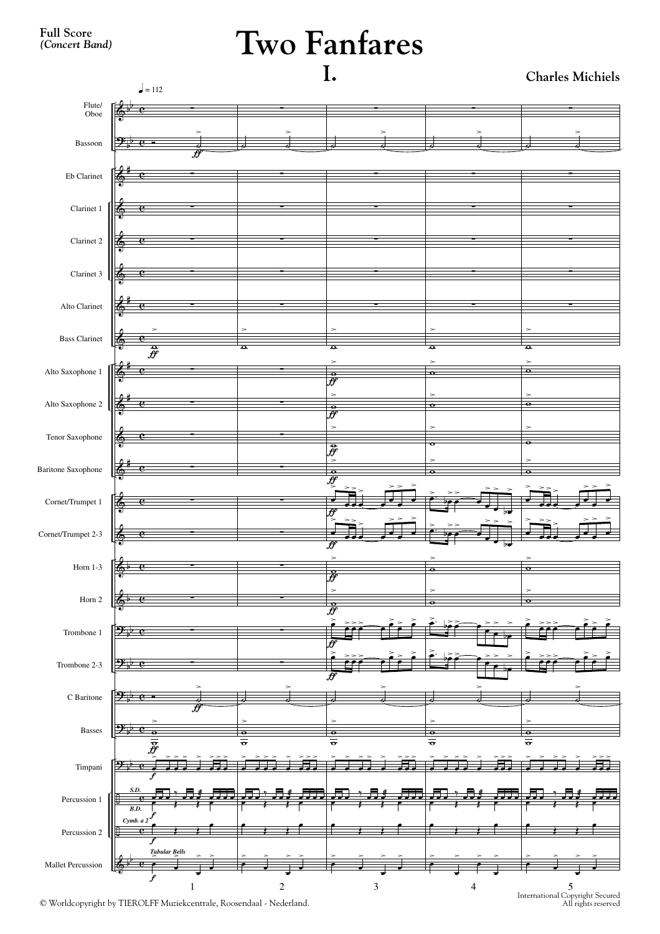**Two Fanfares I.**

**Charles Michiels**



© Worldcopyright by TIEROLFF Muziekcentrale, Roosendaal - Nederland.

International Copyright Secured<br>All rights reserved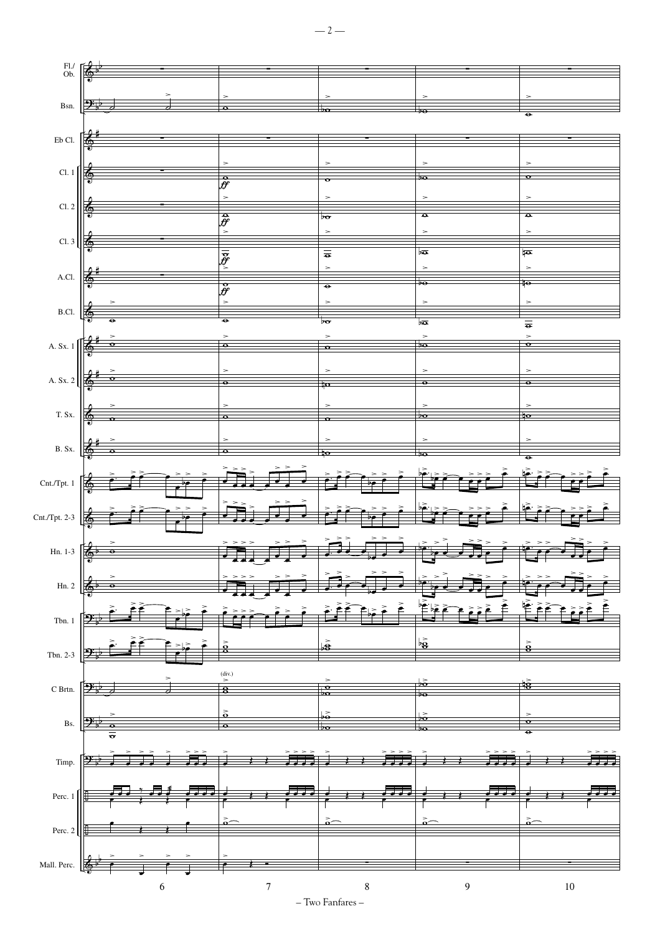

 $-2-$ 

- Two Fanfares -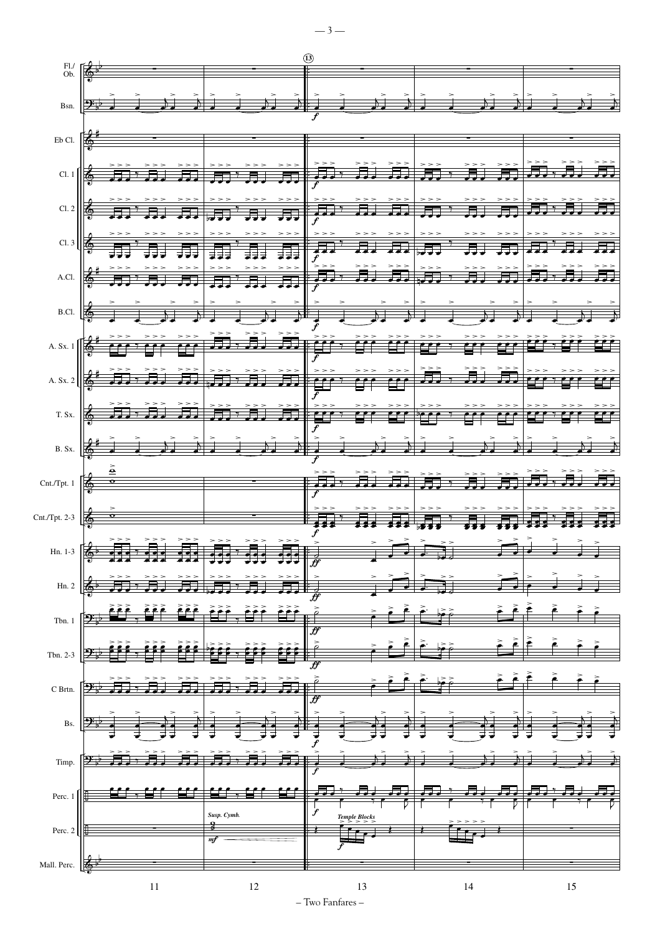

 $-3-$ 

- Two Fanfares -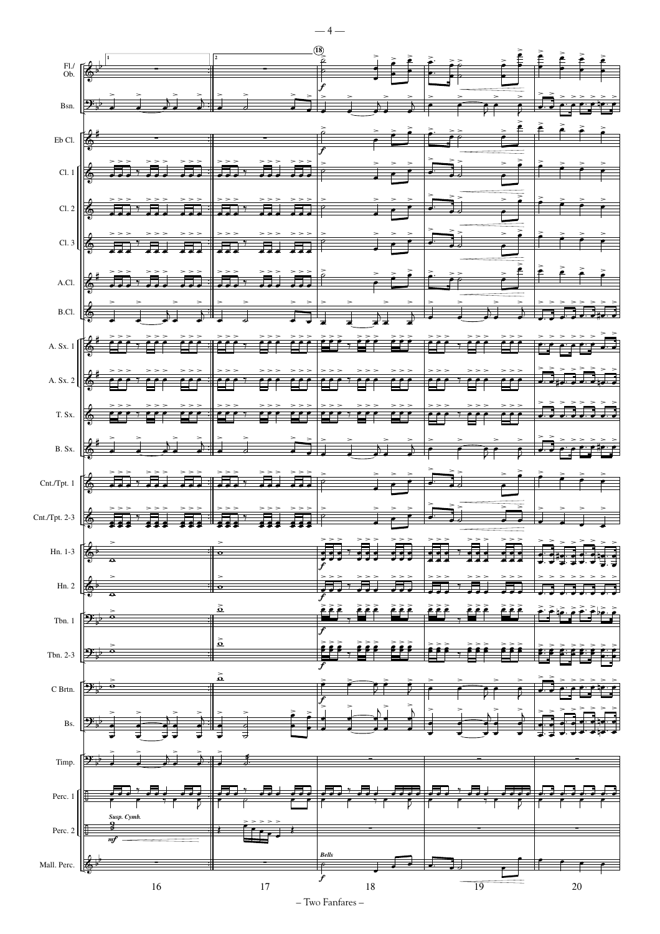

- Two Fanfares -

 $-4-$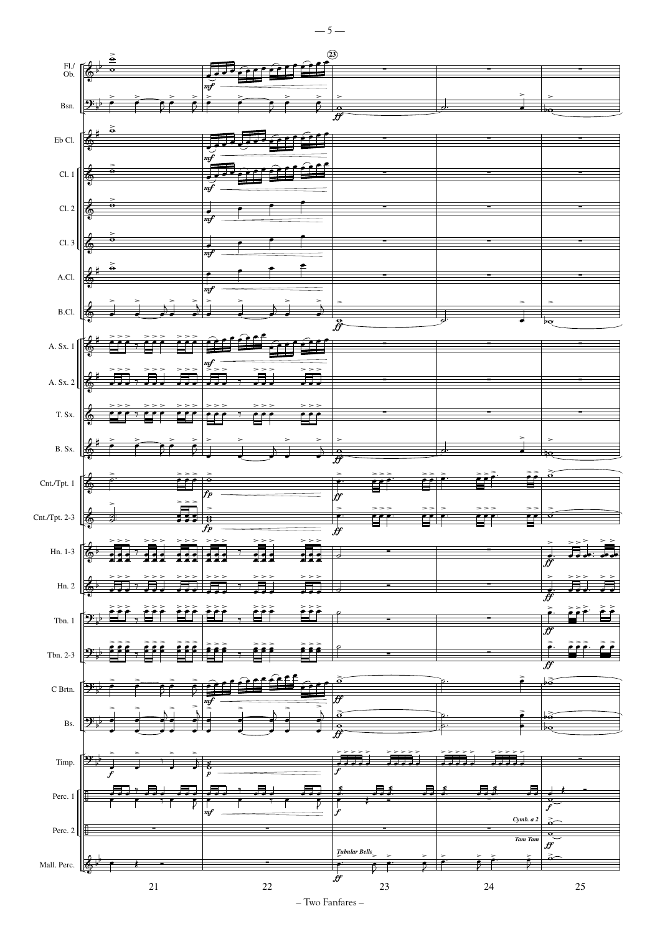$-5-$ 



- Two Fanfares -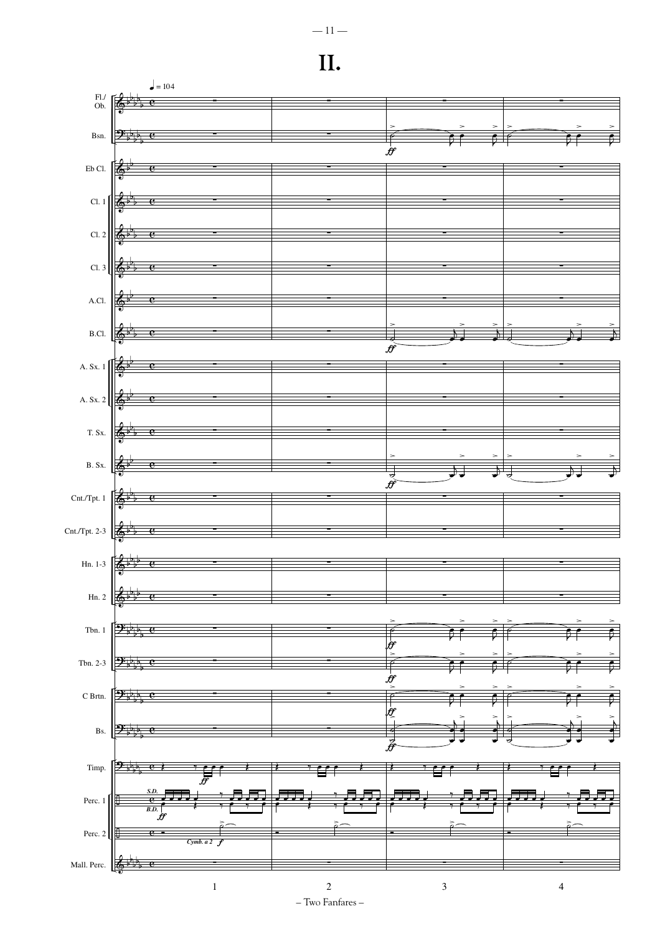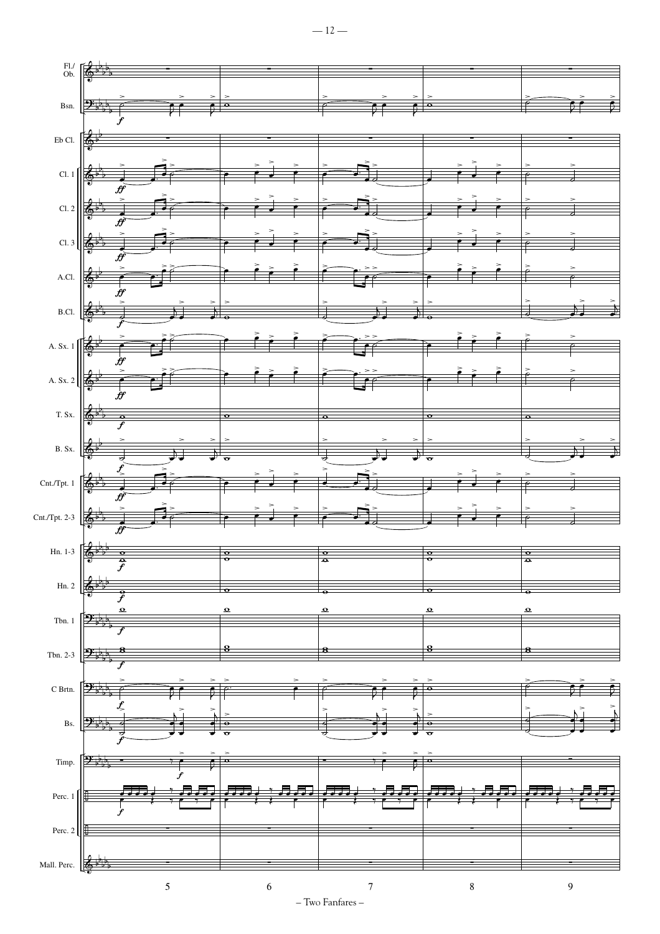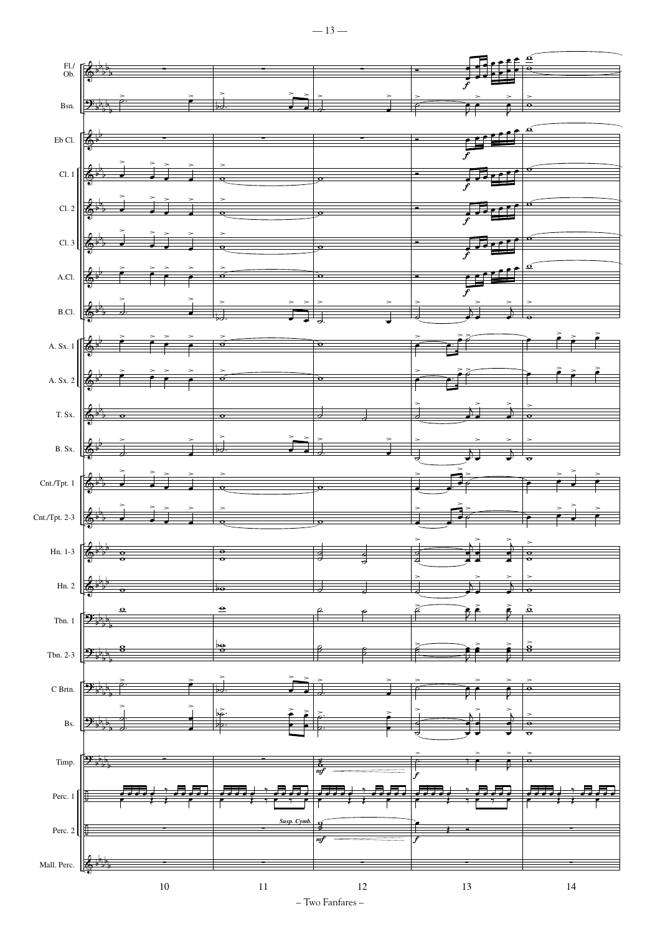

 $-13-$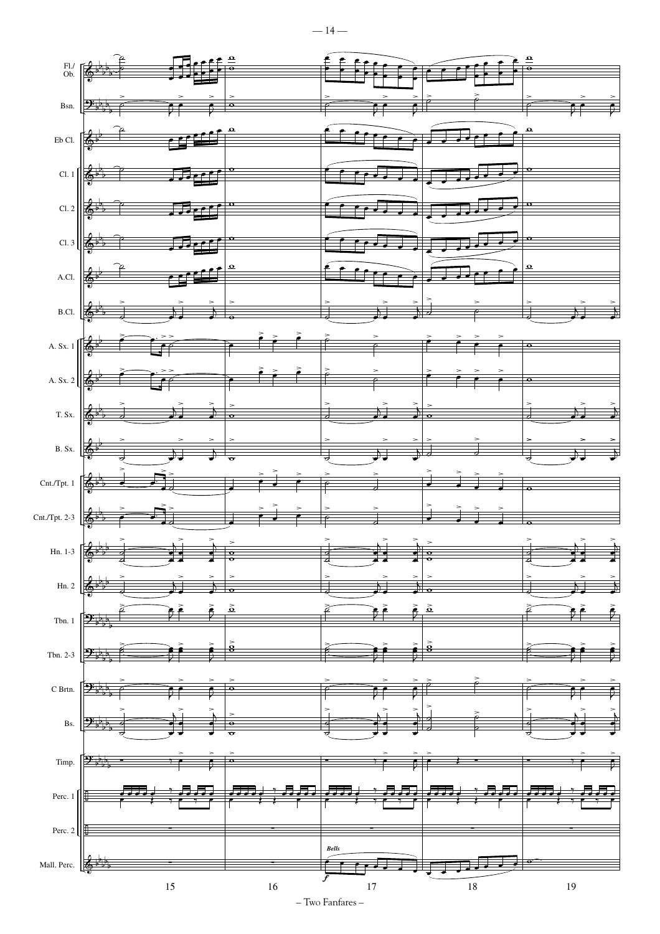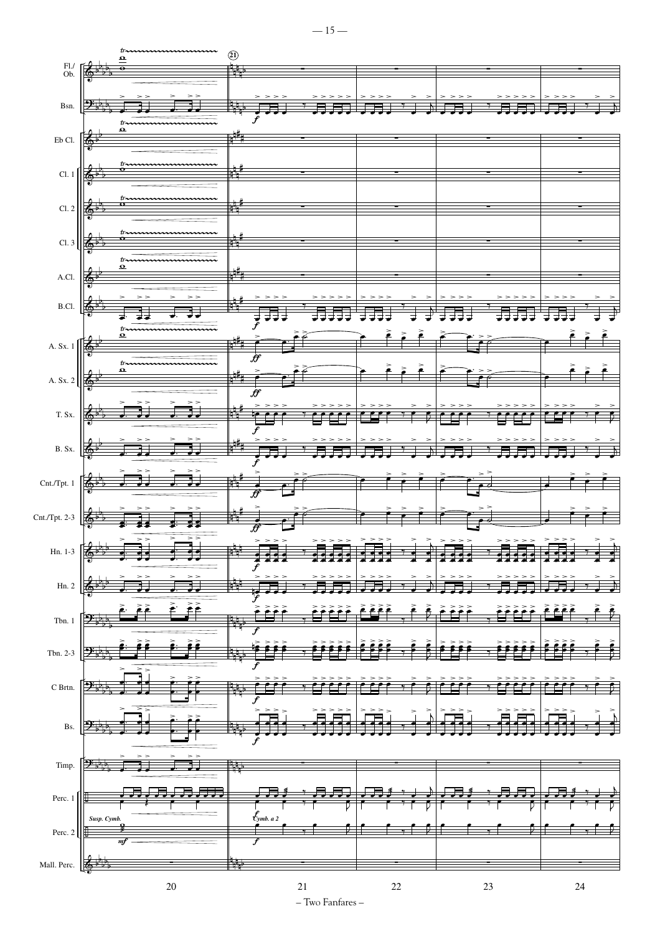